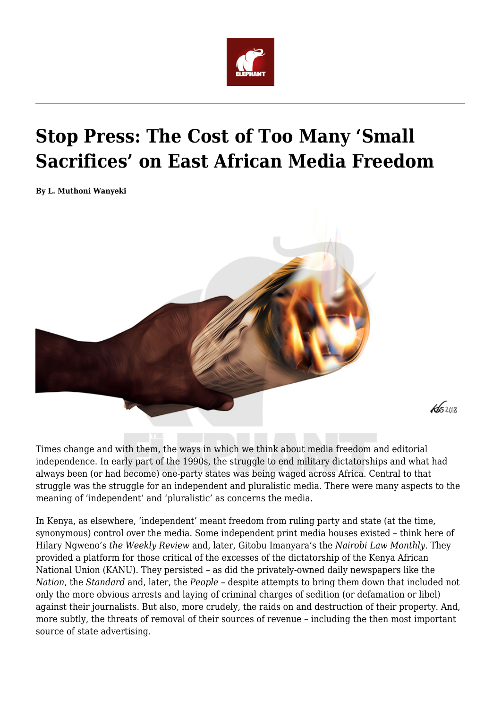

## **Stop Press: The Cost of Too Many 'Small Sacrifices' on East African Media Freedom**

**By L. Muthoni Wanyeki**



Times change and with them, the ways in which we think about media freedom and editorial independence. In early part of the 1990s, the struggle to end military dictatorships and what had always been (or had become) one-party states was being waged across Africa. Central to that struggle was the struggle for an independent and pluralistic media. There were many aspects to the meaning of 'independent' and 'pluralistic' as concerns the media.

 $\sqrt{652018}$ 

In Kenya, as elsewhere, 'independent' meant freedom from ruling party and state (at the time, synonymous) control over the media. Some independent print media houses existed – think here of Hilary Ngweno's *the Weekly Review* and, later, Gitobu Imanyara's the *Nairobi Law Monthly*. They provided a platform for those critical of the excesses of the dictatorship of the Kenya African National Union (KANU). They persisted – as did the privately-owned daily newspapers like the *Nation*, the *Standard* and, later, the *People* – despite attempts to bring them down that included not only the more obvious arrests and laying of criminal charges of sedition (or defamation or libel) against their journalists. But also, more crudely, the raids on and destruction of their property. And, more subtly, the threats of removal of their sources of revenue – including the then most important source of state advertising.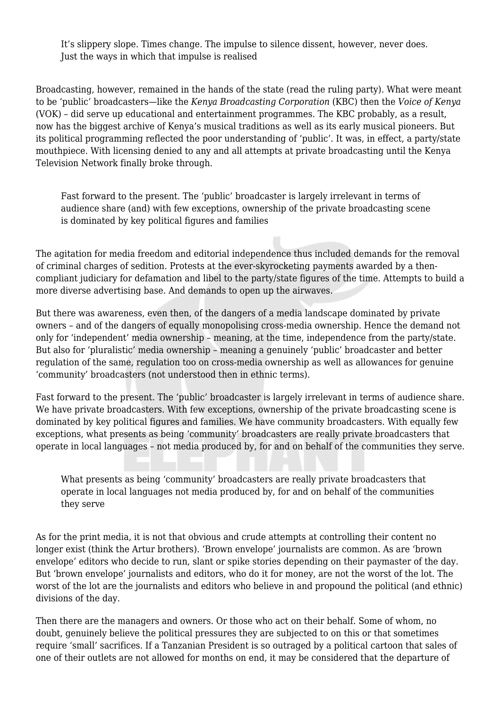It's slippery slope. Times change. The impulse to silence dissent, however, never does. Just the ways in which that impulse is realised

Broadcasting, however, remained in the hands of the state (read the ruling party). What were meant to be 'public' broadcasters—like the *Kenya Broadcasting Corporation* (KBC) then the *Voice of Kenya* (VOK) – did serve up educational and entertainment programmes. The KBC probably, as a result, now has the biggest archive of Kenya's musical traditions as well as its early musical pioneers. But its political programming reflected the poor understanding of 'public'. It was, in effect, a party/state mouthpiece. With licensing denied to any and all attempts at private broadcasting until the Kenya Television Network finally broke through.

Fast forward to the present. The 'public' broadcaster is largely irrelevant in terms of audience share (and) with few exceptions, ownership of the private broadcasting scene is dominated by key political figures and families

The agitation for media freedom and editorial independence thus included demands for the removal of criminal charges of sedition. Protests at the ever-skyrocketing payments awarded by a thencompliant judiciary for defamation and libel to the party/state figures of the time. Attempts to build a more diverse advertising base. And demands to open up the airwaves.

But there was awareness, even then, of the dangers of a media landscape dominated by private owners – and of the dangers of equally monopolising cross-media ownership. Hence the demand not only for 'independent' media ownership – meaning, at the time, independence from the party/state. But also for 'pluralistic' media ownership – meaning a genuinely 'public' broadcaster and better regulation of the same, regulation too on cross-media ownership as well as allowances for genuine 'community' broadcasters (not understood then in ethnic terms).

Fast forward to the present. The 'public' broadcaster is largely irrelevant in terms of audience share. We have private broadcasters. With few exceptions, ownership of the private broadcasting scene is dominated by key political figures and families. We have community broadcasters. With equally few exceptions, what presents as being 'community' broadcasters are really private broadcasters that operate in local languages – not media produced by, for and on behalf of the communities they serve.

What presents as being 'community' broadcasters are really private broadcasters that operate in local languages not media produced by, for and on behalf of the communities they serve

As for the print media, it is not that obvious and crude attempts at controlling their content no longer exist (think the Artur brothers). 'Brown envelope' journalists are common. As are 'brown envelope' editors who decide to run, slant or spike stories depending on their paymaster of the day. But 'brown envelope' journalists and editors, who do it for money, are not the worst of the lot. The worst of the lot are the journalists and editors who believe in and propound the political (and ethnic) divisions of the day.

Then there are the managers and owners. Or those who act on their behalf. Some of whom, no doubt, genuinely believe the political pressures they are subjected to on this or that sometimes require 'small' sacrifices. If a Tanzanian President is so outraged by a political cartoon that sales of one of their outlets are not allowed for months on end, it may be considered that the departure of